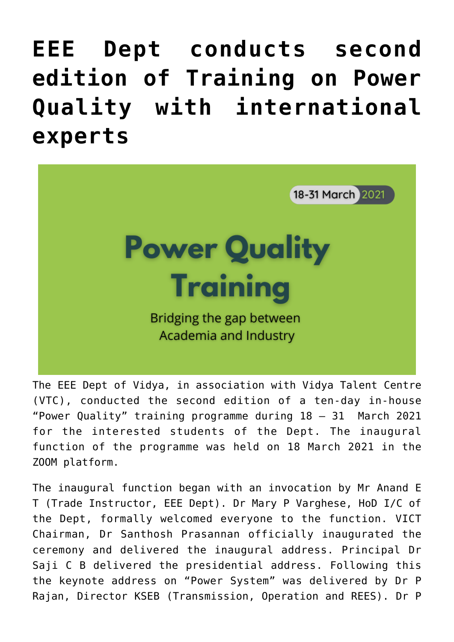## **[EEE Dept conducts second](https://news.vidyaacademy.ac.in/2021/03/31/eee-dept-conducts-second-edition-of-training-on-power-quality-with-international-experts/) [edition of Training on Power](https://news.vidyaacademy.ac.in/2021/03/31/eee-dept-conducts-second-edition-of-training-on-power-quality-with-international-experts/) [Quality with international](https://news.vidyaacademy.ac.in/2021/03/31/eee-dept-conducts-second-edition-of-training-on-power-quality-with-international-experts/) [experts](https://news.vidyaacademy.ac.in/2021/03/31/eee-dept-conducts-second-edition-of-training-on-power-quality-with-international-experts/)**



The EEE Dept of Vidya, in association with Vidya Talent Centre (VTC), conducted the second edition of a ten-day in-house "Power Quality" training programme during 18 – 31 March 2021 for the interested students of the Dept. The inaugural function of the programme was held on 18 March 2021 in the ZOOM platform.

The inaugural function began with an invocation by Mr Anand E T (Trade Instructor, EEE Dept). Dr Mary P Varghese, HoD I/C of the Dept, formally welcomed everyone to the function. VICT Chairman, Dr Santhosh Prasannan officially inaugurated the ceremony and delivered the inaugural address. Principal Dr Saji C B delivered the presidential address. Following this the keynote address on "Power System" was delivered by Dr P Rajan, Director KSEB (Transmission, Operation and REES). Dr P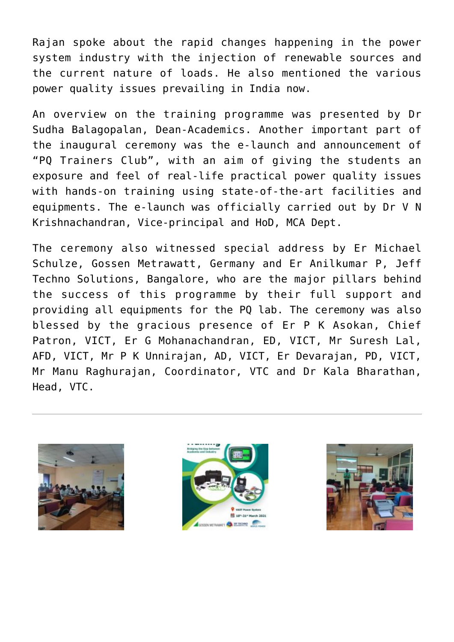Rajan spoke about the rapid changes happening in the power system industry with the injection of renewable sources and the current nature of loads. He also mentioned the various power quality issues prevailing in India now.

An overview on the training programme was presented by Dr Sudha Balagopalan, Dean-Academics. Another important part of the inaugural ceremony was the e-launch and announcement of "PQ Trainers Club", with an aim of giving the students an exposure and feel of real-life practical power quality issues with hands-on training using state-of-the-art facilities and equipments. The e-launch was officially carried out by Dr V N Krishnachandran, Vice-principal and HoD, MCA Dept.

The ceremony also witnessed special address by Er Michael Schulze, Gossen Metrawatt, Germany and Er Anilkumar P, Jeff Techno Solutions, Bangalore, who are the major pillars behind the success of this programme by their full support and providing all equipments for the PQ lab. The ceremony was also blessed by the gracious presence of Er P K Asokan, Chief Patron, VICT, Er G Mohanachandran, ED, VICT, Mr Suresh Lal, AFD, VICT, Mr P K Unnirajan, AD, VICT, Er Devarajan, PD, VICT, Mr Manu Raghurajan, Coordinator, VTC and Dr Kala Bharathan, Head, VTC.